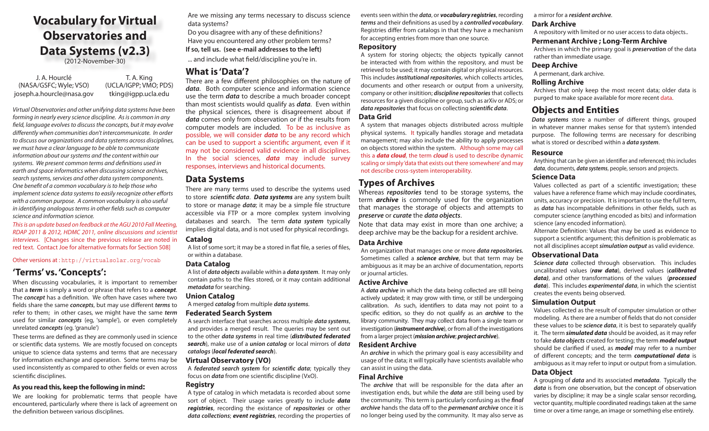# **Vocabulary for Virtual Observatories and Data Systems (v2.3)**

(2012-November-30)

J. A. Hourclé T. A. King (NASA/GSFC; Wyle; VSO) joseph.a.hourcle@nasa.gov

(UCLA/IGPP; VMO; PDS) tking@igpp.ucla.edu

*Virtual Observatories and other unifying data systems have been forming in nearly every science discipline. As is common in any field, language evolves to discuss the concepts, but it may evolve differently when communities don't intercommunicate. In order to discuss our organizations and data systems across disciplines, we must have a clear language to be able to communicate information about our systems and the content within our systems. We present common terms and definitions used in earth and space informatics when discussing science archives, search systems, services and other data system components. One benefit of a common vocabulary is to help those who implement science data systems to easily recognize other efforts with a common purpose. A common vocabulary is also useful in identifying analogous terms in other fields such as computer science and information science.*

*This is an update based on feedback at the AGU 2010 Fall Meeting, RDAP 2011 & 2012, HDMC 2011, online discussions and scientist interviews.* [Changes since the previous release are noted in red text. Contact Joe for alternative formats for Section 508]

Other versions at : http://virtualsolar.org/vocab

# **'Terms' vs. 'Concepts':**

When discussing vocabularies, it is important to remember that a *term* is simply a word or phrase that refers to a *concept*. The *concept* has a definition. We often have cases where two fields share the same *concepts*, but may use different *terms* to refer to them; in other cases, we might have the same *term* used for similar *concepts* (eg, 'sample'), or even completely unrelated *concepts* (eg. 'granule')

These terms are defined as they are commonly used in science or scientific data systems. We are mostly focused on concepts unique to science data systems and terms that are necessary for information exchange and operation. Some terms may be used inconsistently as compared to other fields or even across scientific disciplines.

# **As you read this, keep the following in mind:**

We are looking for problematic terms that people have encountered, particularly where there is lack of agreement on the definition between various disciplines.

Are we missing any terms necessary to discuss science data systems?

Do you disagree with any of these definitions? Have you encountered any other problem terms? **If so, tell us. (see e-mail addresses to the left)**

... and include what field/discipline you're in.

# **What is 'Data'?**

There are a few different philosophies on the nature of *data*. Both computer science and information science use the term *data* to describe a much broader concept than most scientists would qualify as *data*. Even within the physical sciences, there is disagreement about if *data* comes only from observation or if the results from computer models are included. To be as inclusive as possible, we will consider *data* to be any record which can be used to support a scientific argument, even if it may not be considered valid evidence in all disciplines. In the social sciences, *data* may include survey responses, interviews and historical documents.

# **Data Systems**

There are many terms used to describe the systems used to store *scientific data*. *Data systems* are any system built to store or manage *data*; it may be a simple file structure accessible via FTP or a more complex system involving databases and search. The term *data system* typically implies digital data, and is not used for physical recordings.

# **Catalog**

A list of some sort; it may be a stored in flat file, a series of files, or within a database.

# **Data Catalog**

A list of *data objects* available within a *data system*. It may only contain paths to the files stored, or it may contain additional *metadata* for searching.

# **Union Catalog**

A merged *catalog* from multiple *data systems*.

# **Federated Search System**

A search interface that searches across multiple *data systems*, and provides a merged result. The queries may be sent out to the other *data systems* in real time (*distributed federated search*), make use of a *union catalog* or local mirrors of *data catalogs* (*local federated search*).

# **Virtual Observatory (VO)**

A *federated search system* for *scientific data*; typically they focus on *data* from one scientific discipline (VxO).

# **Registry**

A type of catalog in which metadata is recorded about some sort of object. Their usage varies greatly to include *data registries*, recording the existance of *repositories* or other *data collections*; *event registries*, recording the properties of

events seen within the *data*, or *vocabulary registries*, recording *terms* and their definitions as used by a *controlled vocabulary*. Registries differ from catalogs in that they have a mechanism for accepting entries from more than one source.

# **Repository**

A system for storing objects; the objects typically cannot be interacted with from within the repository, and must be retrieved to be used; it may contain digital or physical resources. This includes *institutional repositories*, which collects articles, documents and other research or output from a university, company or other insitition; *discipline repositories* that collects resources for a given discipline or group, such as arXiv or ADS; or *data repositories* that focus on collecting *scientific data*. **Data Grid**

A system that manages objects distributed across multiple physical systems. It typically handles storage and metadata management; may also include the ability to apply processes on objects stored within the system. Although some may call this a *data cloud*, the term *cloud* is used to describe dynamic scaling or simply 'data that exists out there somewhere' and may not describe cross-system interoperability.

# **Types of Archives**

Whereas *repositories* tend to be storage systems, the term *archive* is commonly used for the organization that manages the storage of objects and attempts to *preserve* or *curate* the *data objects*.

Note that data may exist in more than one archive; a deep archive may be the backup for a resident archive.

# **Data Archive**

An organization that manages one or more *data repositories.*  Sometimes called a *science archive*, but that term may be ambiguous as it may be an archive of documentation, reports or journal articles.

# **Active Archive**

A *data archive* in which the data being collected are still being actively updated; it may grow with time, or still be undergoing calibration. As such, identifiers to data may not point to a specific edition, so they do not qualify as an *archive* to the library community. They may collect data from a single team or investigation (*instrument archive*), or from all of the investigations from a larger project (*mission archive*; *project archive*).

# **Resident Archive**

An *archive* in which the primary goal is easy accessibility and usage of the data; it will typically have scientists available who can assist in using the data.

# **Final Archive**

The *archive* that will be responsible for the data after an investigation ends, but while the *data* are still being used by the community. This term is particularly confusing as the *final archive* hands the data off to the *permenant archive* once it is no longer being used by the community. It may also serve as a mirror for a *resident archive*.

# **Dark Archive**

A repository with limited or no user access to data objects..

# **Permenant Archive ; Long-Term Archive**

Archives in which the primary goal is *preservation* of the data rather than immediate usage.

# **Deep Archive**

A permenant, dark archive.

# **Rolling Archive**

Archives that only keep the most recent data; older data is purged to make space available for more recent data.

# **Objects and Entities**

*Data systems* store a number of different things, grouped in whatever manner makes sense for that system's intended purpose. The following terms are necessary for describing what is stored or described within a *data system*.

# **Resource**

Anything that can be given an identifier and referenced; this includes *data*, documents, *data systems*, people, sensors and projects.

# **Science Data**

Values collected as part of a scientific investigation; these values have a reference frame which may include coordinates, units, accuracy or precision. It is important to use the full term, as *data* has incompatable definitions in other fields, such as computer science (anything encoded as bits) and information science (any encoded information).

Alternate Definition: Values that may be used as evidence to support a scientific argument; this definition is problematic as not all disciplines accept *simulation output* as valid evidence.

# **Observational Data**

*Science data* collected through observation. This includes uncalibrated values (*raw data*), derived values (*calibrated data)*, and other transformations of the values (*processed data*). This includes *experimental data*, in which the scientist creates the events being observed.

# **Simulation Output**

Values collected as the result of computer simulation or other modeling. As there are a number of fields that do not consider these values to be *science data*, it is best to separately qualify it. The term *simulated data* should be avoided, as it may refer to fake *data objects* created for testing; the term *model output* should be clarified if used, as *model* may refer to a number of different concepts; and the term *computational data* is ambiguous as it may refer to input or output from a simulation.

# **Data Object**

A grouping of *data* and its associated *metadata*. Typically the *data* is from one observation, but the concept of observation varies by discipline; it may be a single scalar sensor recording, vector quantity, multiple coordinated readings taken at the same time or over a time range, an image or something else entirely.